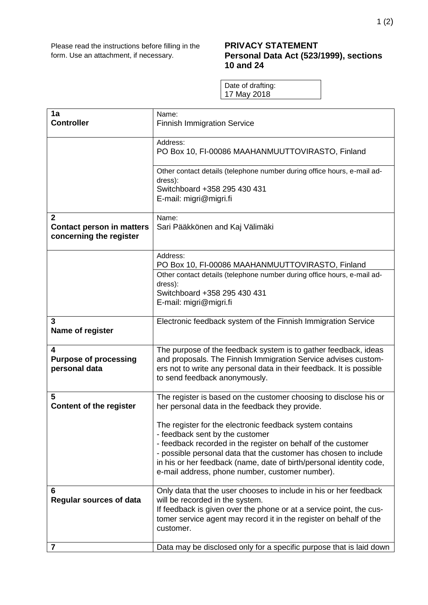## **PRIVACY STATEMENT Personal Data Act (523/1999), sections 10 and 24**

Date of drafting: 17 May 2018

| 1a<br><b>Controller</b>                                          | Name:<br><b>Finnish Immigration Service</b>                                                                                                                                                                                                                                                                                                                |
|------------------------------------------------------------------|------------------------------------------------------------------------------------------------------------------------------------------------------------------------------------------------------------------------------------------------------------------------------------------------------------------------------------------------------------|
|                                                                  |                                                                                                                                                                                                                                                                                                                                                            |
|                                                                  | Address:<br>PO Box 10, FI-00086 MAAHANMUUTTOVIRASTO, Finland                                                                                                                                                                                                                                                                                               |
|                                                                  | Other contact details (telephone number during office hours, e-mail ad-<br>dress):<br>Switchboard +358 295 430 431<br>E-mail: migri@migri.fi                                                                                                                                                                                                               |
| 2<br><b>Contact person in matters</b><br>concerning the register | Name:<br>Sari Pääkkönen and Kaj Välimäki                                                                                                                                                                                                                                                                                                                   |
|                                                                  | Address:                                                                                                                                                                                                                                                                                                                                                   |
|                                                                  | PO Box 10, FI-00086 MAAHANMUUTTOVIRASTO, Finland<br>Other contact details (telephone number during office hours, e-mail ad-<br>dress):<br>Switchboard +358 295 430 431<br>E-mail: migri@migri.fi                                                                                                                                                           |
| 3<br>Name of register                                            | Electronic feedback system of the Finnish Immigration Service                                                                                                                                                                                                                                                                                              |
| 4<br><b>Purpose of processing</b><br>personal data               | The purpose of the feedback system is to gather feedback, ideas<br>and proposals. The Finnish Immigration Service advises custom-<br>ers not to write any personal data in their feedback. It is possible<br>to send feedback anonymously.                                                                                                                 |
| 5<br><b>Content of the register</b>                              | The register is based on the customer choosing to disclose his or<br>her personal data in the feedback they provide.                                                                                                                                                                                                                                       |
|                                                                  | The register for the electronic feedback system contains<br>- feedback sent by the customer<br>- feedback recorded in the register on behalf of the customer<br>- possible personal data that the customer has chosen to include<br>in his or her feedback (name, date of birth/personal identity code,<br>e-mail address, phone number, customer number). |
| 6<br><b>Regular sources of data</b>                              | Only data that the user chooses to include in his or her feedback<br>will be recorded in the system.<br>If feedback is given over the phone or at a service point, the cus-<br>tomer service agent may record it in the register on behalf of the<br>customer.                                                                                             |
| 7                                                                | Data may be disclosed only for a specific purpose that is laid down                                                                                                                                                                                                                                                                                        |